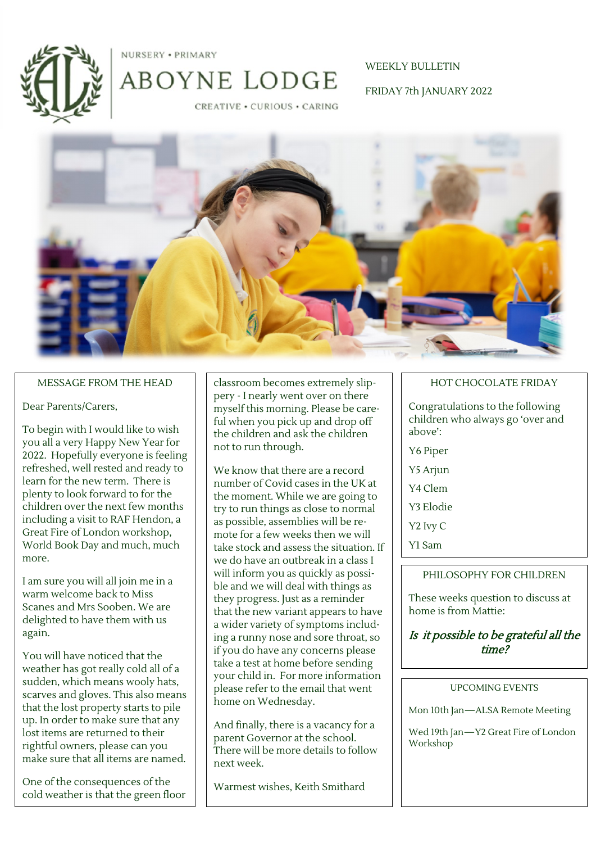

NURSERY . PRIMARY

WEEKLY BULLETIN

FRIDAY 7th JANUARY 2022

**CREATIVE · CURIOUS · CARING** 

ABOYNE LODGE



#### MESSAGE FROM THE HEAD

#### Dear Parents/Carers,

To begin with I would like to wish you all a very Happy New Year for 2022. Hopefully everyone is feeling refreshed, well rested and ready to learn for the new term. There is plenty to look forward to for the children over the next few months including a visit to RAF Hendon, a Great Fire of London workshop, World Book Day and much, much more.

I am sure you will all join me in a warm welcome back to Miss Scanes and Mrs Sooben. We are delighted to have them with us again.

You will have noticed that the weather has got really cold all of a sudden, which means wooly hats, scarves and gloves. This also means that the lost property starts to pile up. In order to make sure that any lost items are returned to their rightful owners, please can you make sure that all items are named.

One of the consequences of the cold weather is that the green floor classroom becomes extremely slippery - I nearly went over on there myself this morning. Please be careful when you pick up and drop off the children and ask the children not to run through.

We know that there are a record number of Covid cases in the UK at the moment. While we are going to try to run things as close to normal as possible, assemblies will be remote for a few weeks then we will take stock and assess the situation. If we do have an outbreak in a class I will inform you as quickly as possible and we will deal with things as they progress. Just as a reminder that the new variant appears to have a wider variety of symptoms including a runny nose and sore throat, so if you do have any concerns please take a test at home before sending your child in. For more information please refer to the email that went home on Wednesday.

And finally, there is a vacancy for a parent Governor at the school. There will be more details to follow next week.

Warmest wishes, Keith Smithard

#### HOT CHOCOLATE FRIDAY

Congratulations to the following children who always go 'over and above':

- Y6 Piper
- Y5 Arjun
- Y4 Clem
- Y3 Elodie
- Y2 Ivy C
- Y1 Sam

#### PHILOSOPHY FOR CHILDREN

These weeks question to discuss at home is from Mattie:

## Is it possible to be grateful all the time?

#### UPCOMING EVENTS

Mon 10th Jan—ALSA Remote Meeting

Wed 19th Jan—Y2 Great Fire of London Workshop